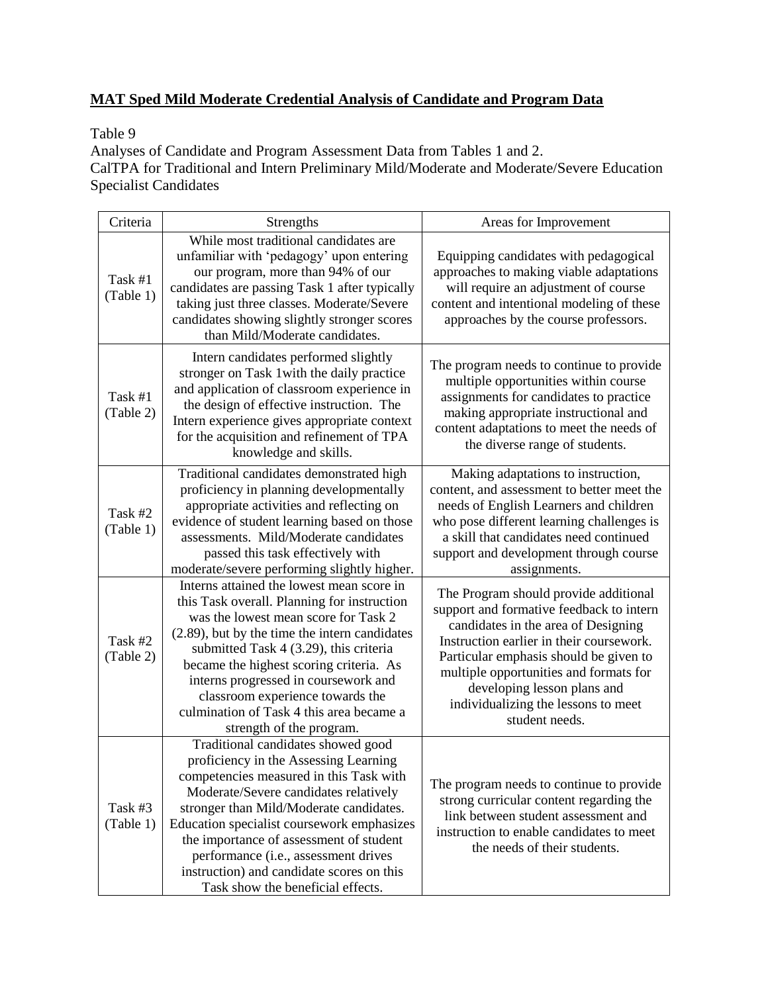# **MAT Sped Mild Moderate Credential Analysis of Candidate and Program Data**

### Table 9

Analyses of Candidate and Program Assessment Data from Tables 1 and 2. CalTPA for Traditional and Intern Preliminary Mild/Moderate and Moderate/Severe Education Specialist Candidates

| Criteria             | Strengths                                                                                                                                                                                                                                                                                                                                                                                                                     | Areas for Improvement                                                                                                                                                                                                                                                                                                                            |
|----------------------|-------------------------------------------------------------------------------------------------------------------------------------------------------------------------------------------------------------------------------------------------------------------------------------------------------------------------------------------------------------------------------------------------------------------------------|--------------------------------------------------------------------------------------------------------------------------------------------------------------------------------------------------------------------------------------------------------------------------------------------------------------------------------------------------|
|                      | While most traditional candidates are                                                                                                                                                                                                                                                                                                                                                                                         |                                                                                                                                                                                                                                                                                                                                                  |
| Task #1<br>(Table 1) | unfamiliar with 'pedagogy' upon entering<br>our program, more than 94% of our<br>candidates are passing Task 1 after typically<br>taking just three classes. Moderate/Severe<br>candidates showing slightly stronger scores<br>than Mild/Moderate candidates.                                                                                                                                                                 | Equipping candidates with pedagogical<br>approaches to making viable adaptations<br>will require an adjustment of course<br>content and intentional modeling of these<br>approaches by the course professors.                                                                                                                                    |
| Task #1<br>(Table 2) | Intern candidates performed slightly<br>stronger on Task 1 with the daily practice<br>and application of classroom experience in<br>the design of effective instruction. The<br>Intern experience gives appropriate context<br>for the acquisition and refinement of TPA<br>knowledge and skills.                                                                                                                             | The program needs to continue to provide<br>multiple opportunities within course<br>assignments for candidates to practice<br>making appropriate instructional and<br>content adaptations to meet the needs of<br>the diverse range of students.                                                                                                 |
| Task #2<br>(Table 1) | Traditional candidates demonstrated high<br>proficiency in planning developmentally<br>appropriate activities and reflecting on<br>evidence of student learning based on those<br>assessments. Mild/Moderate candidates<br>passed this task effectively with<br>moderate/severe performing slightly higher.                                                                                                                   | Making adaptations to instruction,<br>content, and assessment to better meet the<br>needs of English Learners and children<br>who pose different learning challenges is<br>a skill that candidates need continued<br>support and development through course<br>assignments.                                                                      |
| Task #2<br>(Table 2) | Interns attained the lowest mean score in<br>this Task overall. Planning for instruction<br>was the lowest mean score for Task 2<br>(2.89), but by the time the intern candidates<br>submitted Task 4 (3.29), this criteria<br>became the highest scoring criteria. As<br>interns progressed in coursework and<br>classroom experience towards the<br>culmination of Task 4 this area became a<br>strength of the program.    | The Program should provide additional<br>support and formative feedback to intern<br>candidates in the area of Designing<br>Instruction earlier in their coursework.<br>Particular emphasis should be given to<br>multiple opportunities and formats for<br>developing lesson plans and<br>individualizing the lessons to meet<br>student needs. |
| Task #3<br>(Table 1) | Traditional candidates showed good<br>proficiency in the Assessing Learning<br>competencies measured in this Task with<br>Moderate/Severe candidates relatively<br>stronger than Mild/Moderate candidates.<br>Education specialist coursework emphasizes<br>the importance of assessment of student<br>performance (i.e., assessment drives<br>instruction) and candidate scores on this<br>Task show the beneficial effects. | The program needs to continue to provide<br>strong curricular content regarding the<br>link between student assessment and<br>instruction to enable candidates to meet<br>the needs of their students.                                                                                                                                           |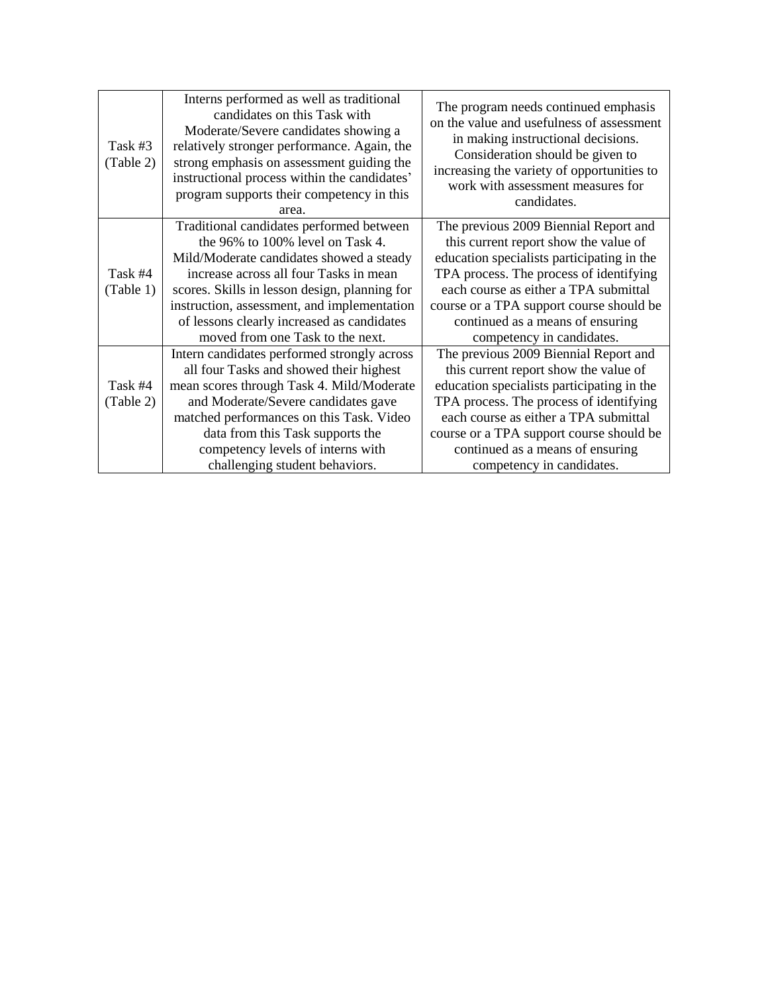| Task #3<br>(Table 2) | Interns performed as well as traditional<br>candidates on this Task with<br>Moderate/Severe candidates showing a<br>relatively stronger performance. Again, the<br>strong emphasis on assessment guiding the<br>instructional process within the candidates'<br>program supports their competency in this<br>area.                                   | The program needs continued emphasis<br>on the value and usefulness of assessment<br>in making instructional decisions.<br>Consideration should be given to<br>increasing the variety of opportunities to<br>work with assessment measures for<br>candidates.                                                                 |
|----------------------|------------------------------------------------------------------------------------------------------------------------------------------------------------------------------------------------------------------------------------------------------------------------------------------------------------------------------------------------------|-------------------------------------------------------------------------------------------------------------------------------------------------------------------------------------------------------------------------------------------------------------------------------------------------------------------------------|
| Task #4<br>(Table 1) | Traditional candidates performed between<br>the 96% to 100% level on Task 4.<br>Mild/Moderate candidates showed a steady<br>increase across all four Tasks in mean<br>scores. Skills in lesson design, planning for<br>instruction, assessment, and implementation<br>of lessons clearly increased as candidates<br>moved from one Task to the next. | The previous 2009 Biennial Report and<br>this current report show the value of<br>education specialists participating in the<br>TPA process. The process of identifying<br>each course as either a TPA submittal<br>course or a TPA support course should be<br>continued as a means of ensuring<br>competency in candidates. |
| Task #4<br>(Table 2) | Intern candidates performed strongly across<br>all four Tasks and showed their highest<br>mean scores through Task 4. Mild/Moderate<br>and Moderate/Severe candidates gave<br>matched performances on this Task. Video<br>data from this Task supports the<br>competency levels of interns with<br>challenging student behaviors.                    | The previous 2009 Biennial Report and<br>this current report show the value of<br>education specialists participating in the<br>TPA process. The process of identifying<br>each course as either a TPA submittal<br>course or a TPA support course should be<br>continued as a means of ensuring<br>competency in candidates. |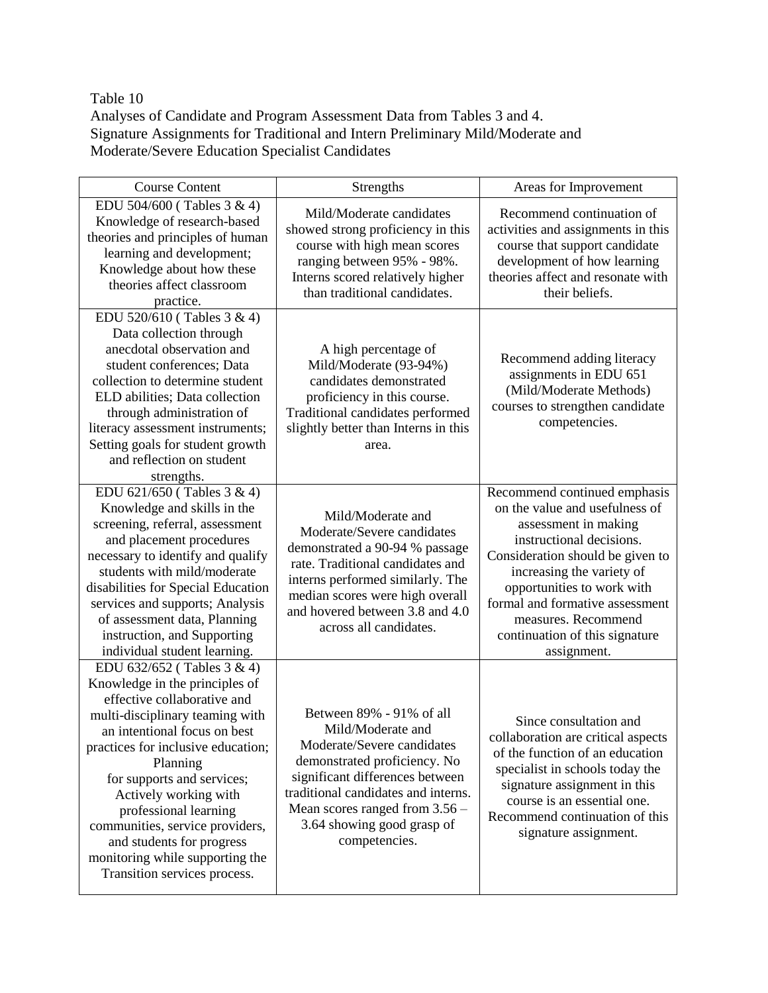### Table 10

Analyses of Candidate and Program Assessment Data from Tables 3 and 4. Signature Assignments for Traditional and Intern Preliminary Mild/Moderate and Moderate/Severe Education Specialist Candidates

| <b>Course Content</b>                                                                                                                                                                                                                                                                                                                                                                                                               | Strengths                                                                                                                                                                                                                                                                | Areas for Improvement                                                                                                                                                                                                                                                                                                        |
|-------------------------------------------------------------------------------------------------------------------------------------------------------------------------------------------------------------------------------------------------------------------------------------------------------------------------------------------------------------------------------------------------------------------------------------|--------------------------------------------------------------------------------------------------------------------------------------------------------------------------------------------------------------------------------------------------------------------------|------------------------------------------------------------------------------------------------------------------------------------------------------------------------------------------------------------------------------------------------------------------------------------------------------------------------------|
| EDU 504/600 (Tables 3 & 4)<br>Knowledge of research-based<br>theories and principles of human<br>learning and development;<br>Knowledge about how these<br>theories affect classroom<br>practice.                                                                                                                                                                                                                                   | Mild/Moderate candidates<br>showed strong proficiency in this<br>course with high mean scores<br>ranging between 95% - 98%.<br>Interns scored relatively higher<br>than traditional candidates.                                                                          | Recommend continuation of<br>activities and assignments in this<br>course that support candidate<br>development of how learning<br>theories affect and resonate with<br>their beliefs.                                                                                                                                       |
| EDU 520/610 (Tables 3 & 4)<br>Data collection through<br>anecdotal observation and<br>student conferences; Data<br>collection to determine student<br>ELD abilities; Data collection<br>through administration of<br>literacy assessment instruments;<br>Setting goals for student growth<br>and reflection on student<br>strengths.                                                                                                | A high percentage of<br>Mild/Moderate (93-94%)<br>candidates demonstrated<br>proficiency in this course.<br>Traditional candidates performed<br>slightly better than Interns in this<br>area.                                                                            | Recommend adding literacy<br>assignments in EDU 651<br>(Mild/Moderate Methods)<br>courses to strengthen candidate<br>competencies.                                                                                                                                                                                           |
| EDU 621/650 (Tables 3 & 4)<br>Knowledge and skills in the<br>screening, referral, assessment<br>and placement procedures<br>necessary to identify and qualify<br>students with mild/moderate<br>disabilities for Special Education<br>services and supports; Analysis<br>of assessment data, Planning<br>instruction, and Supporting<br>individual student learning.                                                                | Mild/Moderate and<br>Moderate/Severe candidates<br>demonstrated a 90-94 % passage<br>rate. Traditional candidates and<br>interns performed similarly. The<br>median scores were high overall<br>and hovered between 3.8 and 4.0<br>across all candidates.                | Recommend continued emphasis<br>on the value and usefulness of<br>assessment in making<br>instructional decisions.<br>Consideration should be given to<br>increasing the variety of<br>opportunities to work with<br>formal and formative assessment<br>measures. Recommend<br>continuation of this signature<br>assignment. |
| EDU 632/652 (Tables 3 & 4)<br>Knowledge in the principles of<br>effective collaborative and<br>multi-disciplinary teaming with<br>an intentional focus on best<br>practices for inclusive education;<br>Planning<br>for supports and services;<br>Actively working with<br>professional learning<br>communities, service providers,<br>and students for progress<br>monitoring while supporting the<br>Transition services process. | Between 89% - 91% of all<br>Mild/Moderate and<br>Moderate/Severe candidates<br>demonstrated proficiency. No<br>significant differences between<br>traditional candidates and interns.<br>Mean scores ranged from $3.56 -$<br>3.64 showing good grasp of<br>competencies. | Since consultation and<br>collaboration are critical aspects<br>of the function of an education<br>specialist in schools today the<br>signature assignment in this<br>course is an essential one.<br>Recommend continuation of this<br>signature assignment.                                                                 |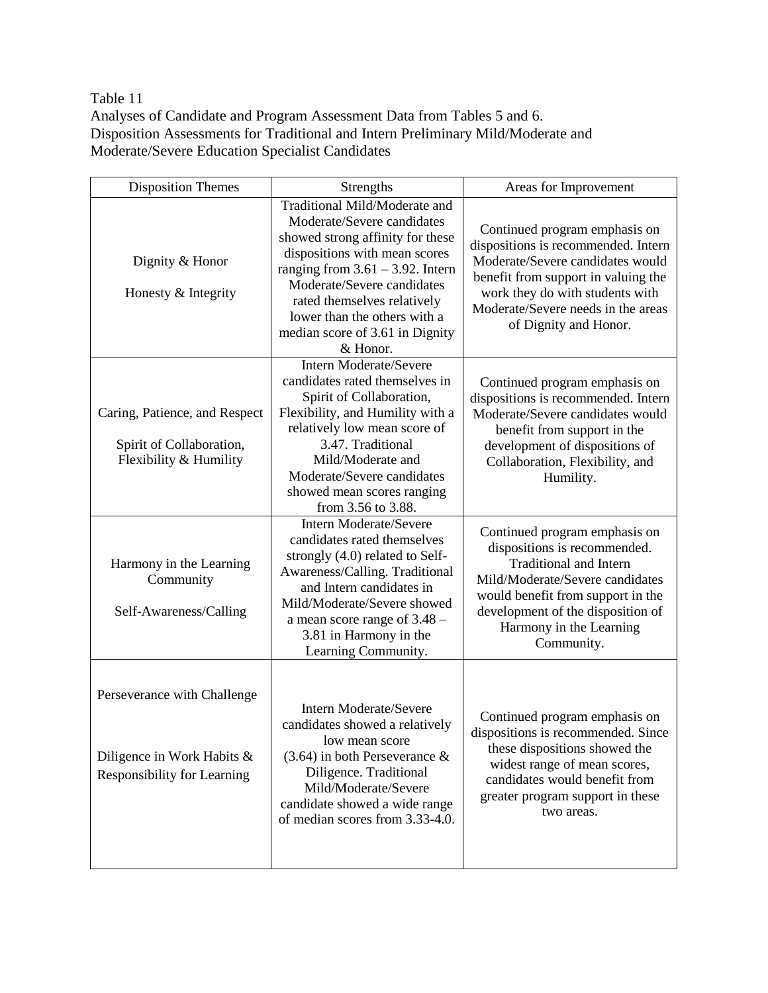Table 11

Analyses of Candidate and Program Assessment Data from Tables 5 and 6. Disposition Assessments for Traditional and Intern Preliminary Mild/Moderate and Moderate/Severe Education Specialist Candidates

| <b>Disposition Themes</b>                                                                | Strengths                                                                                                                                                                                                                                                                                                           | Areas for Improvement                                                                                                                                                                                                                                |
|------------------------------------------------------------------------------------------|---------------------------------------------------------------------------------------------------------------------------------------------------------------------------------------------------------------------------------------------------------------------------------------------------------------------|------------------------------------------------------------------------------------------------------------------------------------------------------------------------------------------------------------------------------------------------------|
| Dignity & Honor<br>Honesty & Integrity                                                   | Traditional Mild/Moderate and<br>Moderate/Severe candidates<br>showed strong affinity for these<br>dispositions with mean scores<br>ranging from $3.61 - 3.92$ . Intern<br>Moderate/Severe candidates<br>rated themselves relatively<br>lower than the others with a<br>median score of 3.61 in Dignity<br>& Honor. | Continued program emphasis on<br>dispositions is recommended. Intern<br>Moderate/Severe candidates would<br>benefit from support in valuing the<br>work they do with students with<br>Moderate/Severe needs in the areas<br>of Dignity and Honor.    |
| Caring, Patience, and Respect<br>Spirit of Collaboration,<br>Flexibility & Humility      | <b>Intern Moderate/Severe</b><br>candidates rated themselves in<br>Spirit of Collaboration,<br>Flexibility, and Humility with a<br>relatively low mean score of<br>3.47. Traditional<br>Mild/Moderate and<br>Moderate/Severe candidates<br>showed mean scores ranging<br>from 3.56 to 3.88.                         | Continued program emphasis on<br>dispositions is recommended. Intern<br>Moderate/Severe candidates would<br>benefit from support in the<br>development of dispositions of<br>Collaboration, Flexibility, and<br>Humility.                            |
| Harmony in the Learning<br>Community<br>Self-Awareness/Calling                           | <b>Intern Moderate/Severe</b><br>candidates rated themselves<br>strongly (4.0) related to Self-<br>Awareness/Calling. Traditional<br>and Intern candidates in<br>Mild/Moderate/Severe showed<br>a mean score range of 3.48 –<br>3.81 in Harmony in the<br>Learning Community.                                       | Continued program emphasis on<br>dispositions is recommended.<br><b>Traditional and Intern</b><br>Mild/Moderate/Severe candidates<br>would benefit from support in the<br>development of the disposition of<br>Harmony in the Learning<br>Community. |
| Perseverance with Challenge<br>Diligence in Work Habits &<br>Responsibility for Learning | Intern Moderate/Severe<br>candidates showed a relatively<br>low mean score<br>$(3.64)$ in both Perseverance &<br>Diligence. Traditional<br>Mild/Moderate/Severe<br>candidate showed a wide range<br>of median scores from 3.33-4.0.                                                                                 | Continued program emphasis on<br>dispositions is recommended. Since<br>these dispositions showed the<br>widest range of mean scores,<br>candidates would benefit from<br>greater program support in these<br>two areas.                              |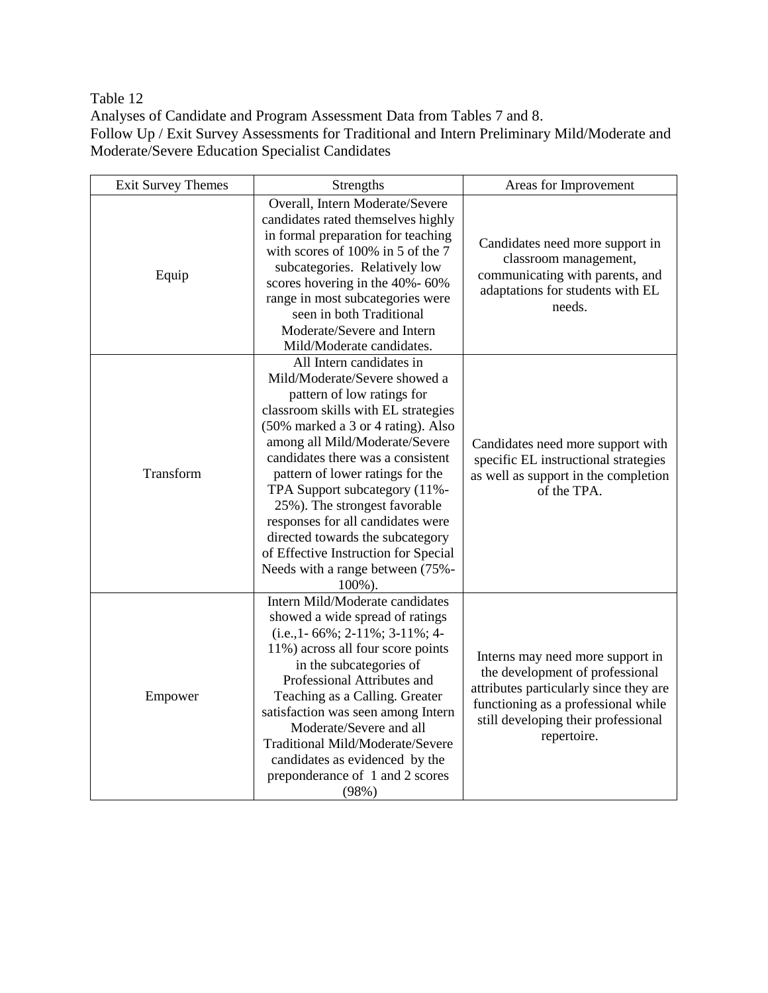Table 12

Analyses of Candidate and Program Assessment Data from Tables 7 and 8. Follow Up / Exit Survey Assessments for Traditional and Intern Preliminary Mild/Moderate and Moderate/Severe Education Specialist Candidates

| <b>Exit Survey Themes</b> | Strengths                                                                                                                                                                                                                                                                                                                                                                                                                                                                                                        | Areas for Improvement                                                                                                                                                                                      |
|---------------------------|------------------------------------------------------------------------------------------------------------------------------------------------------------------------------------------------------------------------------------------------------------------------------------------------------------------------------------------------------------------------------------------------------------------------------------------------------------------------------------------------------------------|------------------------------------------------------------------------------------------------------------------------------------------------------------------------------------------------------------|
| Equip                     | Overall, Intern Moderate/Severe<br>candidates rated themselves highly<br>in formal preparation for teaching<br>with scores of 100% in 5 of the 7<br>subcategories. Relatively low<br>scores hovering in the 40%-60%<br>range in most subcategories were<br>seen in both Traditional<br>Moderate/Severe and Intern<br>Mild/Moderate candidates.                                                                                                                                                                   | Candidates need more support in<br>classroom management,<br>communicating with parents, and<br>adaptations for students with EL<br>needs.                                                                  |
| Transform                 | All Intern candidates in<br>Mild/Moderate/Severe showed a<br>pattern of low ratings for<br>classroom skills with EL strategies<br>(50% marked a 3 or 4 rating). Also<br>among all Mild/Moderate/Severe<br>candidates there was a consistent<br>pattern of lower ratings for the<br>TPA Support subcategory (11%-<br>25%). The strongest favorable<br>responses for all candidates were<br>directed towards the subcategory<br>of Effective Instruction for Special<br>Needs with a range between (75%-<br>100%). | Candidates need more support with<br>specific EL instructional strategies<br>as well as support in the completion<br>of the TPA.                                                                           |
| Empower                   | Intern Mild/Moderate candidates<br>showed a wide spread of ratings<br>$(i.e., 1-66\%; 2-11\%; 3-11\%; 4-$<br>11%) across all four score points<br>in the subcategories of<br>Professional Attributes and<br>Teaching as a Calling. Greater<br>satisfaction was seen among Intern<br>Moderate/Severe and all<br>Traditional Mild/Moderate/Severe<br>candidates as evidenced by the<br>preponderance of 1 and 2 scores<br>(98%)                                                                                    | Interns may need more support in<br>the development of professional<br>attributes particularly since they are<br>functioning as a professional while<br>still developing their professional<br>repertoire. |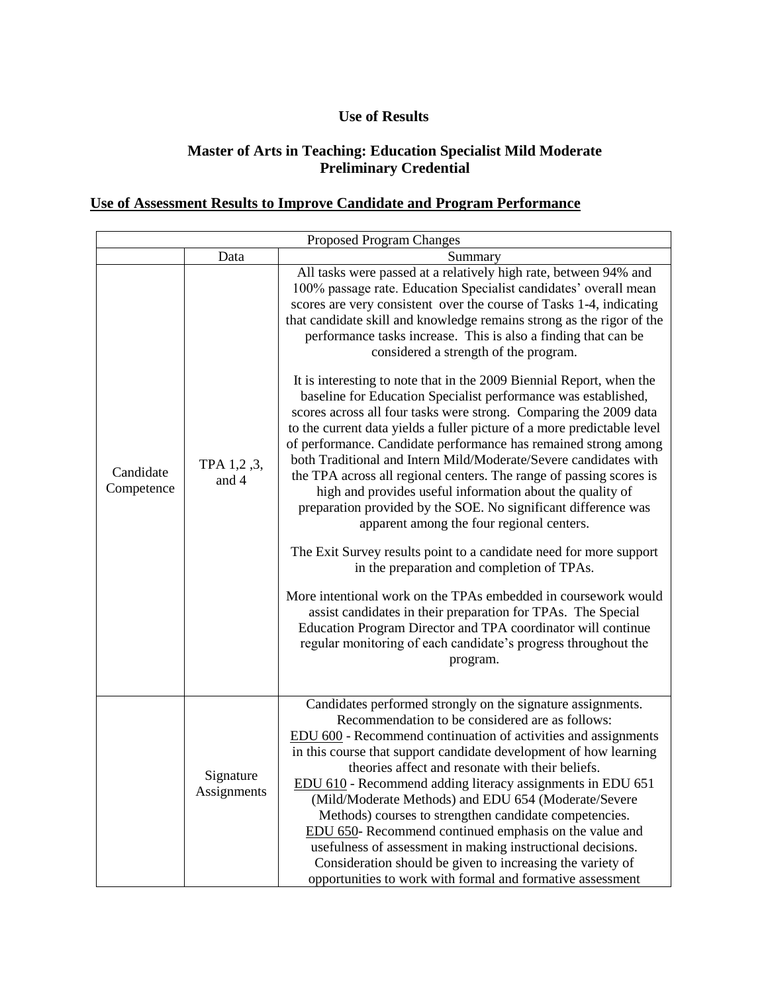## **Use of Results**

#### **Master of Arts in Teaching: Education Specialist Mild Moderate Preliminary Credential**

# **Use of Assessment Results to Improve Candidate and Program Performance**

| Proposed Program Changes |                          |                                                                                                                                                                                                                                                                                                                                                                                                                                                                                                                                                                                                                                                                                                                                                                                                                                                                                                                                                                                                                                                                                                                                                                                                                                                                                                                                                                                                                                                                                         |
|--------------------------|--------------------------|-----------------------------------------------------------------------------------------------------------------------------------------------------------------------------------------------------------------------------------------------------------------------------------------------------------------------------------------------------------------------------------------------------------------------------------------------------------------------------------------------------------------------------------------------------------------------------------------------------------------------------------------------------------------------------------------------------------------------------------------------------------------------------------------------------------------------------------------------------------------------------------------------------------------------------------------------------------------------------------------------------------------------------------------------------------------------------------------------------------------------------------------------------------------------------------------------------------------------------------------------------------------------------------------------------------------------------------------------------------------------------------------------------------------------------------------------------------------------------------------|
|                          | Data                     | Summary                                                                                                                                                                                                                                                                                                                                                                                                                                                                                                                                                                                                                                                                                                                                                                                                                                                                                                                                                                                                                                                                                                                                                                                                                                                                                                                                                                                                                                                                                 |
| Candidate<br>Competence  | TPA 1,2,3,<br>and 4      | All tasks were passed at a relatively high rate, between 94% and<br>100% passage rate. Education Specialist candidates' overall mean<br>scores are very consistent over the course of Tasks 1-4, indicating<br>that candidate skill and knowledge remains strong as the rigor of the<br>performance tasks increase. This is also a finding that can be<br>considered a strength of the program.<br>It is interesting to note that in the 2009 Biennial Report, when the<br>baseline for Education Specialist performance was established,<br>scores across all four tasks were strong. Comparing the 2009 data<br>to the current data yields a fuller picture of a more predictable level<br>of performance. Candidate performance has remained strong among<br>both Traditional and Intern Mild/Moderate/Severe candidates with<br>the TPA across all regional centers. The range of passing scores is<br>high and provides useful information about the quality of<br>preparation provided by the SOE. No significant difference was<br>apparent among the four regional centers.<br>The Exit Survey results point to a candidate need for more support<br>in the preparation and completion of TPAs.<br>More intentional work on the TPAs embedded in coursework would<br>assist candidates in their preparation for TPAs. The Special<br>Education Program Director and TPA coordinator will continue<br>regular monitoring of each candidate's progress throughout the<br>program. |
|                          | Signature<br>Assignments | Candidates performed strongly on the signature assignments.<br>Recommendation to be considered are as follows:<br>EDU 600 - Recommend continuation of activities and assignments<br>in this course that support candidate development of how learning<br>theories affect and resonate with their beliefs.<br>EDU 610 - Recommend adding literacy assignments in EDU 651<br>(Mild/Moderate Methods) and EDU 654 (Moderate/Severe<br>Methods) courses to strengthen candidate competencies.<br>EDU 650- Recommend continued emphasis on the value and<br>usefulness of assessment in making instructional decisions.<br>Consideration should be given to increasing the variety of<br>opportunities to work with formal and formative assessment                                                                                                                                                                                                                                                                                                                                                                                                                                                                                                                                                                                                                                                                                                                                          |